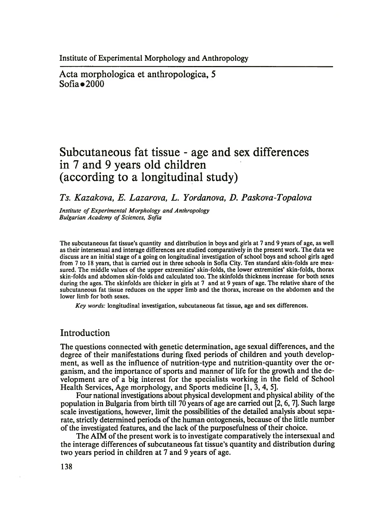Acta morphologica et anthropologica, 5  $Sofia \bullet 2000$ 

# **Subcutaneous fat tissue - age and sex differences in 7 and 9 years old children (according to a longitudinal study)**

# *Ts. Kazakova, E. Lazarova, L. Yordanova, D. Paskova-Topalova*

*Institute of Experimental Morphology and Anthropology Bulgarian Academy of Sciences, Sofia*

The subcutaneous fat tissue's quantity and distribution in boys and girls at 7 and 9 years of age, as well as their intersexual and interage differences are studied comparatively in the present work. The data we discuss are an initial stage of a going on longitudinal investigation of school boys and school girls aged from 7 to 18 years, that is carried out in three schools in Sofia City. Ten standard skin-folds are measured. The middle values of the upper extremities' skin-folds, the lower extremities' skin-folds, thorax skin-folds and abdomen skin-folds and calculated too. The skinfolds thickness increase for both sexes during the ages. The skinfolds are thicker in girls at 7 and at 9 years of age. The relative share of the subcutaneous fat tissue reduces on the upper limb and the thorax, increase on the abdomen and the lower limb for both sexes.

*Key words:* longitudinal investigation, subcutaneous fat tissue, age and sex differences.

## Introduction

The questions connected with genetic determination, age sexual differences, and the degree of their manifestations during fixed periods of children and youth development, as well as the influence of nutrition-type and nutrition-quantity over the organism, and the importance of sports and manner of life for the growth and the development are of a big interest for the specialists working in the field of School Health Services, Age morphology, and Sports medicine [1, 3, 4, 5].

Four national investigations about physical development and physical ability of the population in Bulgaria from birth till 70 years of age are carried out [2,6,7]. Such large scale investigations, however, limit the possibilities of the detailed analysis about separate, strictly determined periods of the human ontogenesis, because of the little number of the investigated features, and the lack of the purposefulness of their choice.

The AIM of the present work is to investigate comparatively the intersexual and the interage differences of subcutaneous fat tissue's quantity and distribution during two years period in children at 7 and 9 years of age.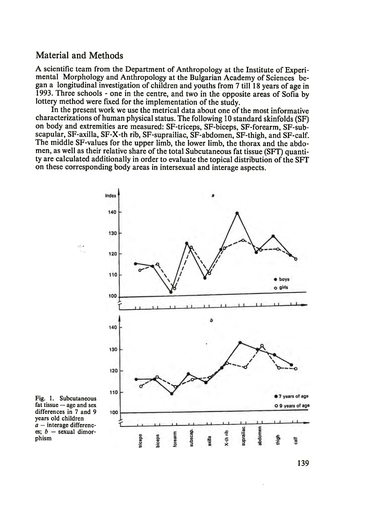#### Material and Methods

A scientific team from the Department of Anthropology at the Institute of Experimental Morphology and Anthropology at the Bulgarian Academy of Sciences began a longitudinal investigation of children and youths from 7 till 18 years of age in 1993. Three schools - one in the centre, and two in the opposite areas of Sofia by lottery method were fixed for the implementation of the study.

In the present work we use the metrical data about one of the most informative characterizations of human physical status. The following 10 standard skinfolds (SF) on body and extremities are measured: SF-triceps, SF-biceps, SF-forearm, SF-subscapular, SF-axilla, SF-X-th rib, SF-suprailiac, SF-abdomen, SF-thigh, and SF-calf. The middle SF-values for the upper limb, the lower limb, the thorax and the abdomen, as well as their relative share of the total Subcutaneous fat tissue (SFT) quantity are calculated additionally in order to evaluate the topical distribution of the SFT on these corresponding body areas in intersexual and interage aspects.



Fig. 1. Subcutaneous fat tissue — age and sex differences in 7 and 9 years old children *a* — interage differences; *b* — sexual dimorphism

139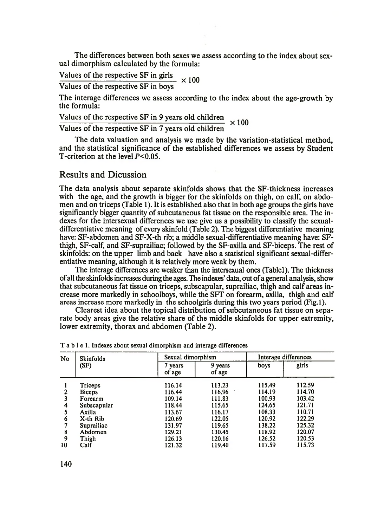The differences between both sexes we assess according to the index about sexual dimorphism calculated by the formula:

Values of the respective SF in girls  $\times 100$ 

Values of the respective SF in boys

The interage differences we assess according to the index about the age-growth by the formula:

Values of the respective SF in 9 years old children  $\times 100$ 

Values of the respective SF in 7 years old children

The data valuation and analysis we made by the variation-statistical method, and the statistical significance of the established differences we assess by Student T-criterion at the level  $P < 0.05$ .

## Results and Dicussion

The data analysis about separate skinfolds shows that the SF-thickness increases with the age, and the growth is bigger for the skinfolds on thigh, on calf, on abdomen and on triceps (Table 1). It is established also that in both age groups the girls have significantly bigger quantity of subcutaneous fat tissue on the responsible area. The indexes for the intersexual differences we use give us a possibility to classify the sexualdifferentiative meaning of every skinfold  $(Table 2)$ . The biggest differentiative meaning have: SF-abdomen and SF-X-th rib; a middle sexual-differentiative meaning have: SFthigh, SF-calf, and SF-suprailiac; followed by the SF-axilla and SF-biceps. The rest of skinfolds: on the upper limb and back have also a statistical significant sexual-differentiative meaning, although it is relatively more weak by them.

The interage differences are weaker than the intersexual ones (Tablel). The thickness of all the skinfolds increases during the ages. The indexes' data, out of a general analysis, show that subcutaneous fat tissue on triceps, subscapular, suprailiac, thigh and calf areas increase more markedly in schoolboys, while the SFT on forearm, axilla, thigh and calf areas increase more markedly in the schoolgirls during this two years period (Fig.l).

Clearest idea about the topical distribution of subcutaneous fat tissue on separate body areas give the relative share of the middle skinfolds for upper extremity, lower extremity, thorax and abdomen (Table 2).

| No | <b>Skinfolds</b> | Sexual dimorphism |                       |        | Interage differences |  |  |
|----|------------------|-------------------|-----------------------|--------|----------------------|--|--|
|    | (SF)             | 7 years<br>of age | 9.<br>years<br>of age | boys   | girls                |  |  |
|    | Triceps          | 116.14            | 113.23                | 115.49 | 112.59               |  |  |
| 2  | Biceps           | 116.44            | 116.96                | 114.19 | 114.70               |  |  |
| 3  | Forearm          | 109.14            | 111.83                | 100.93 | 103.42               |  |  |
| 4  | Subscapular      | 118.44            | 115.65                | 124.65 | 121.71               |  |  |
| 5  | Axilla           | 113.67            | 116.17                | 108.33 | 110.71               |  |  |
| 6  | X-th Rib         | 120.69            | 122.05                | 120.92 | 122.29               |  |  |
| 7  | Suprailiac       | 131.97            | 119.65                | 138.22 | 125.32               |  |  |
| 8  | Abdomen          | 129.21            | 130.45                | 118.92 | 120.07               |  |  |
| 9  | Thigh            | 126.13            | 120.16                | 126.52 | 120.53               |  |  |
| 10 | Calf             | 121.32            | 119.40                | 117.59 | 115.73               |  |  |

|  |  |  |  |  |  |  |  |  |  |  |  |  | T a b l e 1. Indexes about sexual dimorphism and interage differences |
|--|--|--|--|--|--|--|--|--|--|--|--|--|-----------------------------------------------------------------------|
|--|--|--|--|--|--|--|--|--|--|--|--|--|-----------------------------------------------------------------------|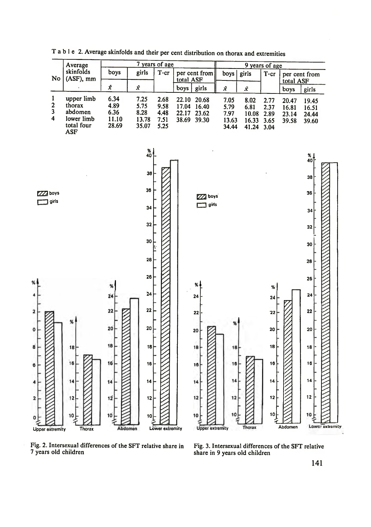

T able 2. Average skinfolds and their per cent distribution on thorax and extremities

Fig. 2. Intersexual differences of the SFT relative share in Fig. 3. Intersexual differences of the SFT relative

share in 9 years old children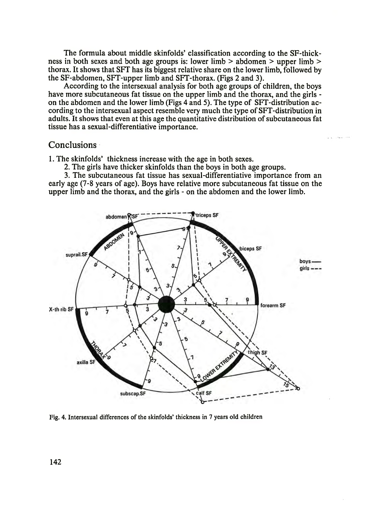The formula about middle skinfolds' classification according to the SF-thickness in both sexes and both age groups is: lower limb > abdomen > upper limb > thorax. It shows that SFT has its biggest relative share on the lower limb, followed by the SF-abdomen, SFT-upper limb and SFT-thorax. (Figs 2 and 3).

According to the intersexual analysis for both age groups of children, the boys have more subcutaneous fat tissue on the upper limb and the thorax, and the girls on the abdomen and the lower limb (Figs 4 and 5). The type of SFT-distribution according to the intersexual aspect resemble very much the type of SFT-distribution in adults. It shows that even at this age the quantitative distribution of subcutaneous fat tissue has a sexual-differentiative importance.

#### **Conclusions**

1. The skinfolds' thickness increase with the age in both sexes.

2. The girls have thicker skinfolds than the boys in both age groups.

3. The subcutaneous fat tissue has sexual-differentiative importance from an early age (7-8 years of age). Boys have relative more subcutaneous fat tissue on the upper limb and the thorax, and the girls - on the abdomen and the lower limb.



Fig. 4. Intersexual differences of the skinfolds' thickness in 7 years old children